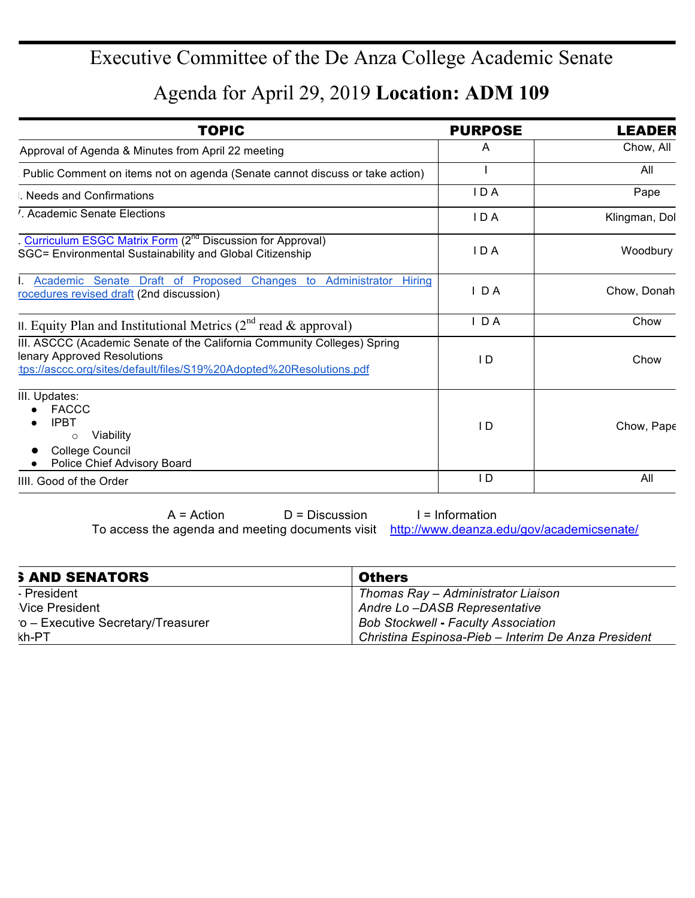## Executive Committee of the De Anza College Academic Senate

## Agenda for April 29, 2019 **Location: ADM 109**

| <b>TOPIC</b>                                                                                                                                                                   | <b>PURPOSE</b> | <b>LEADER</b> |
|--------------------------------------------------------------------------------------------------------------------------------------------------------------------------------|----------------|---------------|
| Approval of Agenda & Minutes from April 22 meeting                                                                                                                             | A              | Chow, All     |
| Public Comment on items not on agenda (Senate cannot discuss or take action)                                                                                                   |                | All           |
| Needs and Confirmations                                                                                                                                                        | <b>IDA</b>     | Pape          |
| '. Academic Senate Elections                                                                                                                                                   | IDA            | Klingman, Dol |
| . Curriculum ESGC Matrix Form (2 <sup>nd</sup> Discussion for Approval)<br>SGC= Environmental Sustainability and Global Citizenship                                            | IDA            | Woodbury      |
| Academic Senate Draft of Proposed<br>Changes to Administrator Hiring<br>rocedures revised draft (2nd discussion)                                                               | IDA            | Chow, Donah   |
| II. Equity Plan and Institutional Metrics ( $2^{nd}$ read & approval)                                                                                                          | $I$ DA         | Chow          |
| III. ASCCC (Academic Senate of the California Community Colleges) Spring<br>lenary Approved Resolutions<br>tps://asccc.org/sites/default/files/S19%20Adopted%20Resolutions.pdf | ID             | Chow          |
| III. Updates:<br><b>FACCC</b><br><b>IPBT</b><br>Viability<br>$\circ$<br>College Council<br>Police Chief Advisory Board                                                         | $\overline{D}$ | Chow, Pape    |
| IIII. Good of the Order                                                                                                                                                        | $\overline{D}$ | All           |

 $A = Action$  D = Discussion I = Information To access the agenda and meeting documents visit http://www.deanza.edu/gov/academicsenate/

| <b>SAND SENATORS</b>              | <b>Others</b>                                       |
|-----------------------------------|-----------------------------------------------------|
| - President                       | Thomas Ray - Administrator Liaison                  |
| Vice President                    | Andre Lo-DASB Representative                        |
| o - Executive Secretary/Treasurer | <b>Bob Stockwell - Faculty Association</b>          |
| kh-PT                             | Christina Espinosa-Pieb - Interim De Anza President |